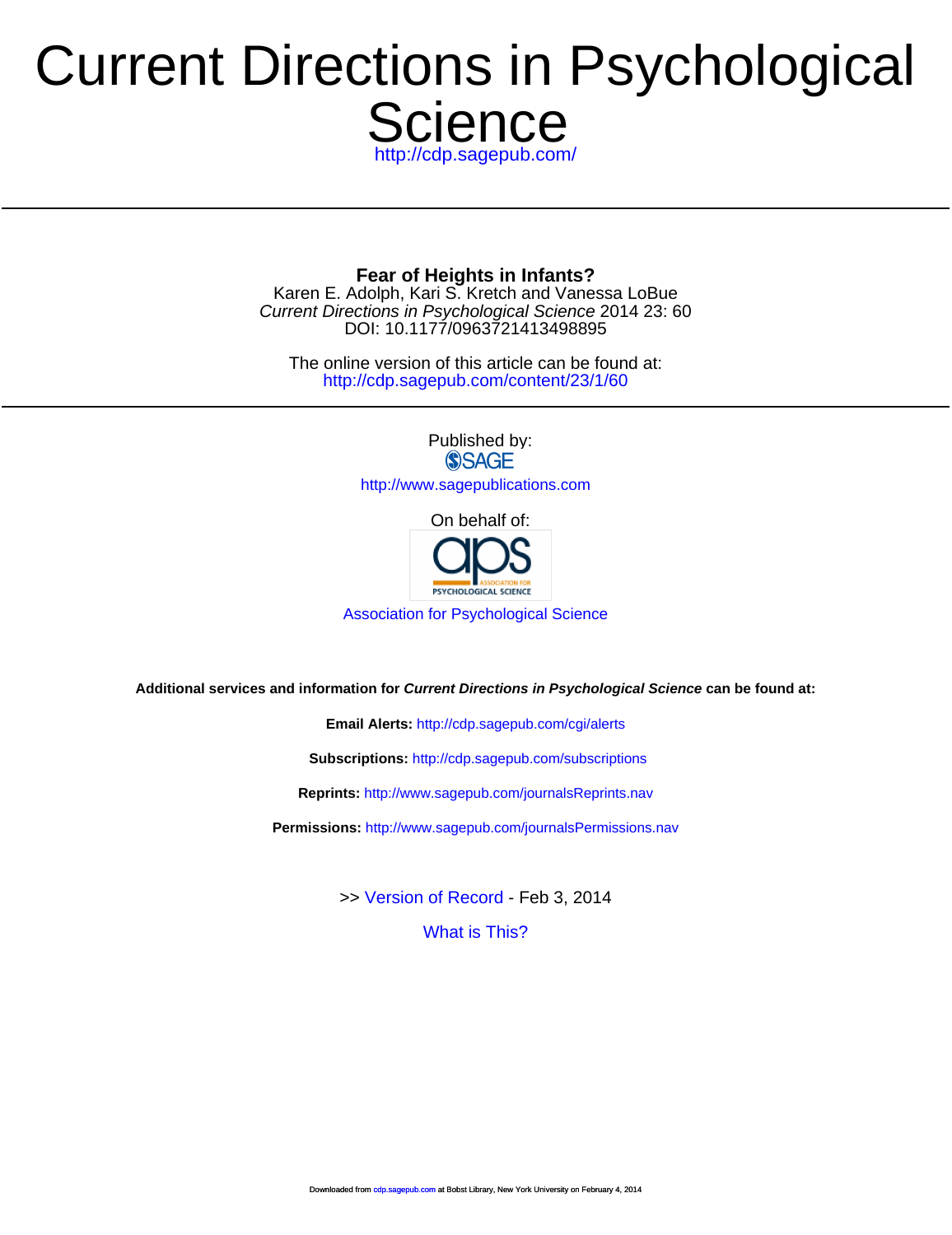## **Science** <http://cdp.sagepub.com/> Current Directions in Psychological

D[OI: 10.1177/0963721413498895](http://www.sagepub.com/journalsReprints.nav) Current Directions in Psychological Science 2014 23: 60 Karen E. Adolph, Kari S. Kretch and Vanessa LoBue **Fear [of Heights in Infants?](http://cdp.sagepub.com/subscriptions)**

<http://cdp.sagepub.com/content/23/1/60> The online version of this article can be found at:

> Published by:<br>
> SAGE <http://www.sagepublications.com>

On behalf of:



[Association for Psychological Science](http://www.psychologicalscience.org/)

**Additional services and information for Current Directions in Psychological Science can be found at:**

**Email Alerts:** <http://cdp.sagepub.com/cgi/alerts>

**Subscriptions:** <http://cdp.sagepub.com/subscriptions>

**Reprints:** <http://www.sagepub.com/journalsReprints.nav>

**Permissions:** <http://www.sagepub.com/journalsPermissions.nav>

>> [Version of Record -](http://cdp.sagepub.com/content/23/1/60.full.pdf) Feb 3, 2014

[What is This?](http://online.sagepub.com/site/sphelp/vorhelp.xhtml)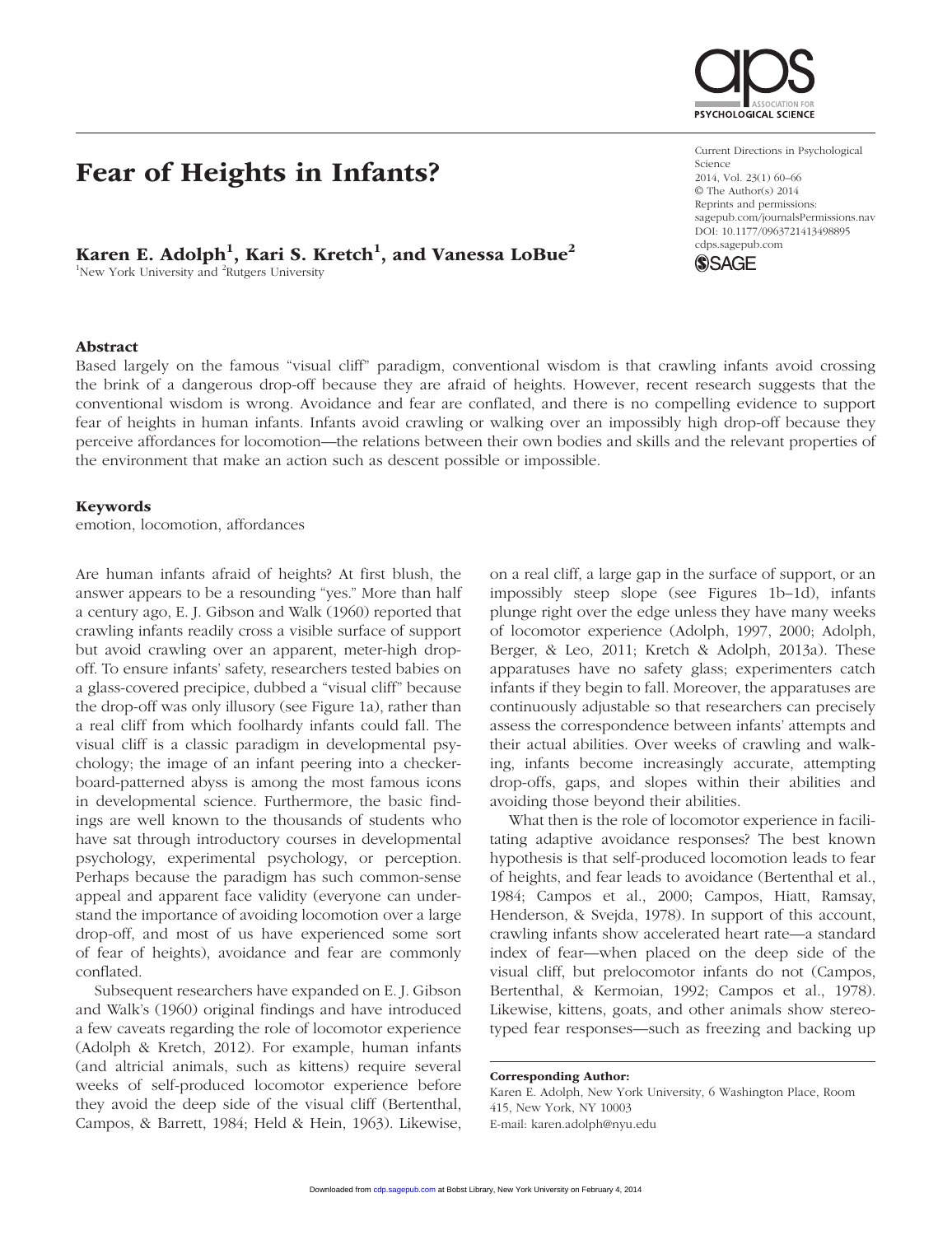# **YCHOLOGICAL SCIENC**

### Fear of Heights in Infants?

#### Karen E. Adolph $^1$ , Kari S. Kretch $^1$ , and Vanessa LoBue $^2$

<sup>1</sup>New York University and <sup>2</sup>Rutgers University

Current Directions in Psychological Science 2014, Vol. 23(1) 60–66 © The Author(s) 2014 Reprints and permissions: sagepub.com/journalsPermissions.nav DOI: 10.1177/0963721413498895 cdps.sagepub.com



#### Abstract

Based largely on the famous "visual cliff" paradigm, conventional wisdom is that crawling infants avoid crossing the brink of a dangerous drop-off because they are afraid of heights. However, recent research suggests that the conventional wisdom is wrong. Avoidance and fear are conflated, and there is no compelling evidence to support fear of heights in human infants. Infants avoid crawling or walking over an impossibly high drop-off because they perceive affordances for locomotion—the relations between their own bodies and skills and the relevant properties of the environment that make an action such as descent possible or impossible.

#### Keywords

emotion, locomotion, affordances

Are human infants afraid of heights? At first blush, the answer appears to be a resounding "yes." More than half a century ago, E. J. Gibson and Walk (1960) reported that crawling infants readily cross a visible surface of support but avoid crawling over an apparent, meter-high dropoff. To ensure infants' safety, researchers tested babies on a glass-covered precipice, dubbed a "visual cliff" because the drop-off was only illusory (see Figure 1a), rather than a real cliff from which foolhardy infants could fall. The visual cliff is a classic paradigm in developmental psychology; the image of an infant peering into a checkerboard-patterned abyss is among the most famous icons in developmental science. Furthermore, the basic findings are well known to the thousands of students who have sat through introductory courses in developmental psychology, experimental psychology, or perception. Perhaps because the paradigm has such common-sense appeal and apparent face validity (everyone can understand the importance of avoiding locomotion over a large drop-off, and most of us have experienced some sort of fear of heights), avoidance and fear are commonly conflated.

Subsequent researchers have expanded on E. J. Gibson and Walk's (1960) original findings and have introduced a few caveats regarding the role of locomotor experience (Adolph & Kretch, 2012). For example, human infants (and altricial animals, such as kittens) require several weeks of self-produced locomotor experience before they avoid the deep side of the visual cliff (Bertenthal, Campos, & Barrett, 1984; Held & Hein, 1963). Likewise,

on a real cliff, a large gap in the surface of support, or an impossibly steep slope (see Figures 1b–1d), infants plunge right over the edge unless they have many weeks of locomotor experience (Adolph, 1997, 2000; Adolph, Berger, & Leo, 2011; Kretch & Adolph, 2013a). These apparatuses have no safety glass; experimenters catch infants if they begin to fall. Moreover, the apparatuses are continuously adjustable so that researchers can precisely assess the correspondence between infants' attempts and their actual abilities. Over weeks of crawling and walking, infants become increasingly accurate, attempting drop-offs, gaps, and slopes within their abilities and avoiding those beyond their abilities.

What then is the role of locomotor experience in facilitating adaptive avoidance responses? The best known hypothesis is that self-produced locomotion leads to fear of heights, and fear leads to avoidance (Bertenthal et al., 1984; Campos et al., 2000; Campos, Hiatt, Ramsay, Henderson, & Svejda, 1978). In support of this account, crawling infants show accelerated heart rate—a standard index of fear—when placed on the deep side of the visual cliff, but prelocomotor infants do not (Campos, Bertenthal, & Kermoian, 1992; Campos et al., 1978). Likewise, kittens, goats, and other animals show stereotyped fear responses—such as freezing and backing up

Corresponding Author:

Karen E. Adolph, New York University, 6 Washington Place, Room 415, New York, NY 10003 E-mail: karen.adolph@nyu.edu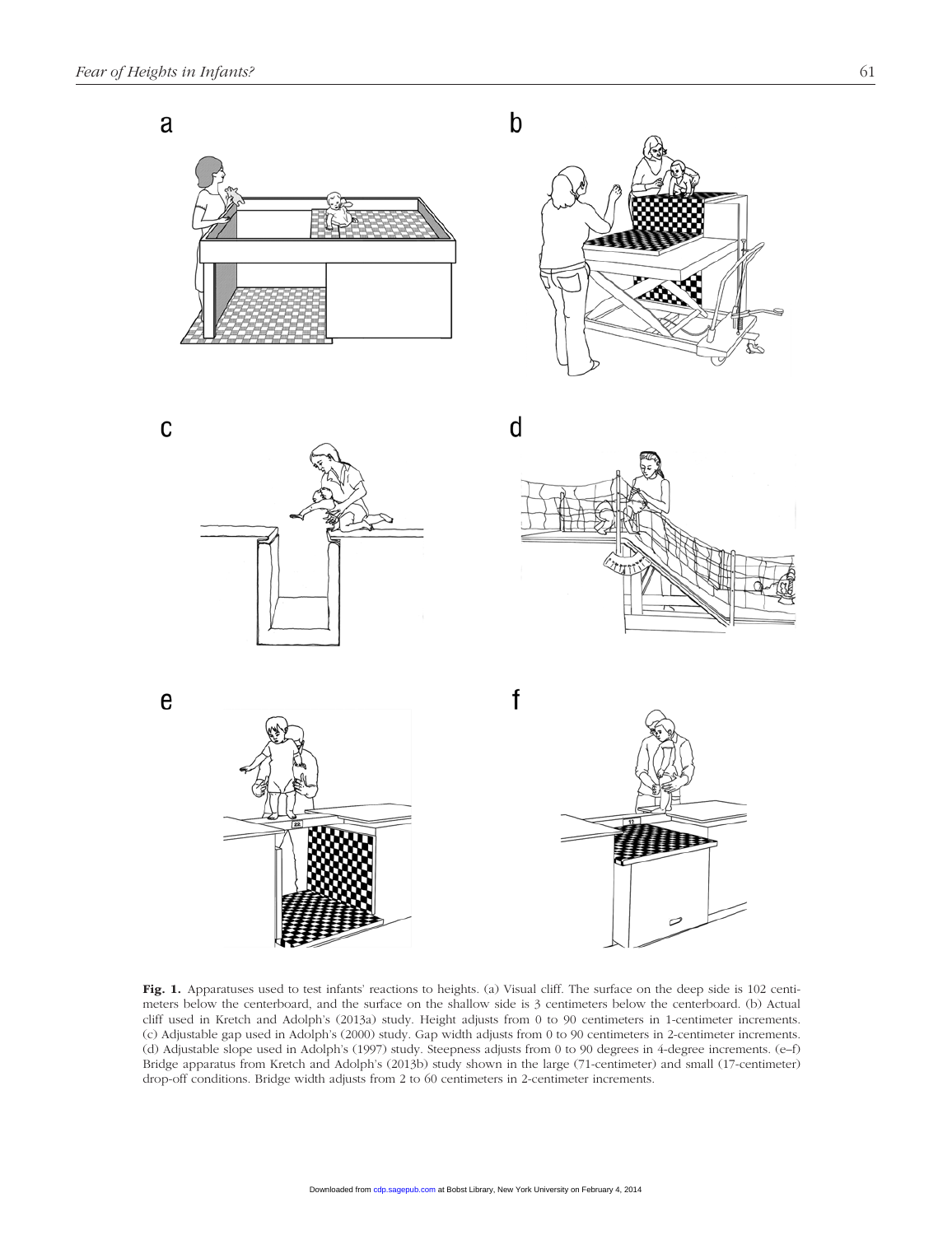

Ħ.

 $\mathsf b$ 





 $\mathbf e$ 





Fig. 1. Apparatuses used to test infants' reactions to heights. (a) Visual cliff. The surface on the deep side is 102 centimeters below the centerboard, and the surface on the shallow side is 3 centimeters below the centerboard. (b) Actual cliff used in Kretch and Adolph's (2013a) study. Height adjusts from 0 to 90 centimeters in 1-centimeter increments. (c) Adjustable gap used in Adolph's (2000) study. Gap width adjusts from 0 to 90 centimeters in 2-centimeter increments. (d) Adjustable slope used in Adolph's (1997) study. Steepness adjusts from 0 to 90 degrees in 4-degree increments. (e–f) Bridge apparatus from Kretch and Adolph's (2013b) study shown in the large (71-centimeter) and small (17-centimeter) drop-off conditions. Bridge width adjusts from 2 to 60 centimeters in 2-centimeter increments.

f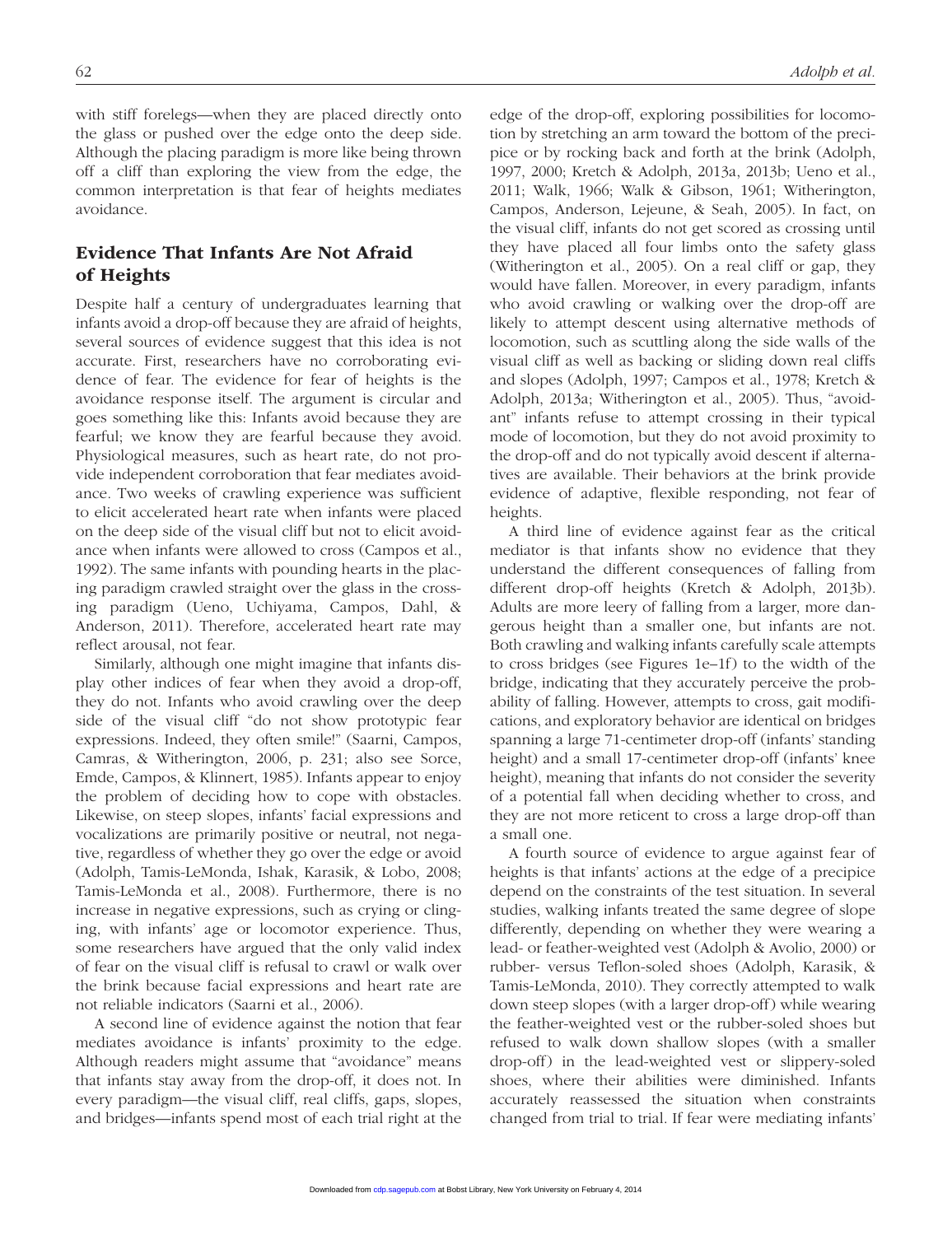with stiff forelegs—when they are placed directly onto the glass or pushed over the edge onto the deep side. Although the placing paradigm is more like being thrown off a cliff than exploring the view from the edge, the common interpretation is that fear of heights mediates avoidance.

#### Evidence That Infants Are Not Afraid of Heights

Despite half a century of undergraduates learning that infants avoid a drop-off because they are afraid of heights, several sources of evidence suggest that this idea is not accurate. First, researchers have no corroborating evidence of fear. The evidence for fear of heights is the avoidance response itself. The argument is circular and goes something like this: Infants avoid because they are fearful; we know they are fearful because they avoid. Physiological measures, such as heart rate, do not provide independent corroboration that fear mediates avoidance. Two weeks of crawling experience was sufficient to elicit accelerated heart rate when infants were placed on the deep side of the visual cliff but not to elicit avoidance when infants were allowed to cross (Campos et al., 1992). The same infants with pounding hearts in the placing paradigm crawled straight over the glass in the crossing paradigm (Ueno, Uchiyama, Campos, Dahl, & Anderson, 2011). Therefore, accelerated heart rate may reflect arousal, not fear.

Similarly, although one might imagine that infants display other indices of fear when they avoid a drop-off, they do not. Infants who avoid crawling over the deep side of the visual cliff ''do not show prototypic fear expressions. Indeed, they often smile!'' (Saarni, Campos, Camras, & Witherington, 2006, p. 231; also see Sorce, Emde, Campos, & Klinnert, 1985). Infants appear to enjoy the problem of deciding how to cope with obstacles. Likewise, on steep slopes, infants' facial expressions and vocalizations are primarily positive or neutral, not negative, regardless of whether they go over the edge or avoid (Adolph, Tamis-LeMonda, Ishak, Karasik, & Lobo, 2008; Tamis-LeMonda et al., 2008). Furthermore, there is no increase in negative expressions, such as crying or clinging, with infants' age or locomotor experience. Thus, some researchers have argued that the only valid index of fear on the visual cliff is refusal to crawl or walk over the brink because facial expressions and heart rate are not reliable indicators (Saarni et al., 2006).

A second line of evidence against the notion that fear mediates avoidance is infants' proximity to the edge. Although readers might assume that "avoidance" means that infants stay away from the drop-off, it does not. In every paradigm—the visual cliff, real cliffs, gaps, slopes, and bridges—infants spend most of each trial right at the edge of the drop-off, exploring possibilities for locomotion by stretching an arm toward the bottom of the precipice or by rocking back and forth at the brink (Adolph, 1997, 2000; Kretch & Adolph, 2013a, 2013b; Ueno et al., 2011; Walk, 1966; Walk & Gibson, 1961; Witherington, Campos, Anderson, Lejeune, & Seah, 2005). In fact, on the visual cliff, infants do not get scored as crossing until they have placed all four limbs onto the safety glass (Witherington et al., 2005). On a real cliff or gap, they would have fallen. Moreover, in every paradigm, infants who avoid crawling or walking over the drop-off are likely to attempt descent using alternative methods of locomotion, such as scuttling along the side walls of the visual cliff as well as backing or sliding down real cliffs and slopes (Adolph, 1997; Campos et al., 1978; Kretch & Adolph, 2013a; Witherington et al., 2005). Thus, "avoidant" infants refuse to attempt crossing in their typical mode of locomotion, but they do not avoid proximity to the drop-off and do not typically avoid descent if alternatives are available. Their behaviors at the brink provide evidence of adaptive, flexible responding, not fear of heights.

A third line of evidence against fear as the critical mediator is that infants show no evidence that they understand the different consequences of falling from different drop-off heights (Kretch & Adolph, 2013b). Adults are more leery of falling from a larger, more dangerous height than a smaller one, but infants are not. Both crawling and walking infants carefully scale attempts to cross bridges (see Figures 1e–1f) to the width of the bridge, indicating that they accurately perceive the probability of falling. However, attempts to cross, gait modifications, and exploratory behavior are identical on bridges spanning a large 71-centimeter drop-off (infants' standing height) and a small 17-centimeter drop-off (infants' knee height), meaning that infants do not consider the severity of a potential fall when deciding whether to cross, and they are not more reticent to cross a large drop-off than a small one.

A fourth source of evidence to argue against fear of heights is that infants' actions at the edge of a precipice depend on the constraints of the test situation. In several studies, walking infants treated the same degree of slope differently, depending on whether they were wearing a lead- or feather-weighted vest (Adolph & Avolio, 2000) or rubber- versus Teflon-soled shoes (Adolph, Karasik, & Tamis-LeMonda, 2010). They correctly attempted to walk down steep slopes (with a larger drop-off) while wearing the feather-weighted vest or the rubber-soled shoes but refused to walk down shallow slopes (with a smaller drop-off) in the lead-weighted vest or slippery-soled shoes, where their abilities were diminished. Infants accurately reassessed the situation when constraints changed from trial to trial. If fear were mediating infants'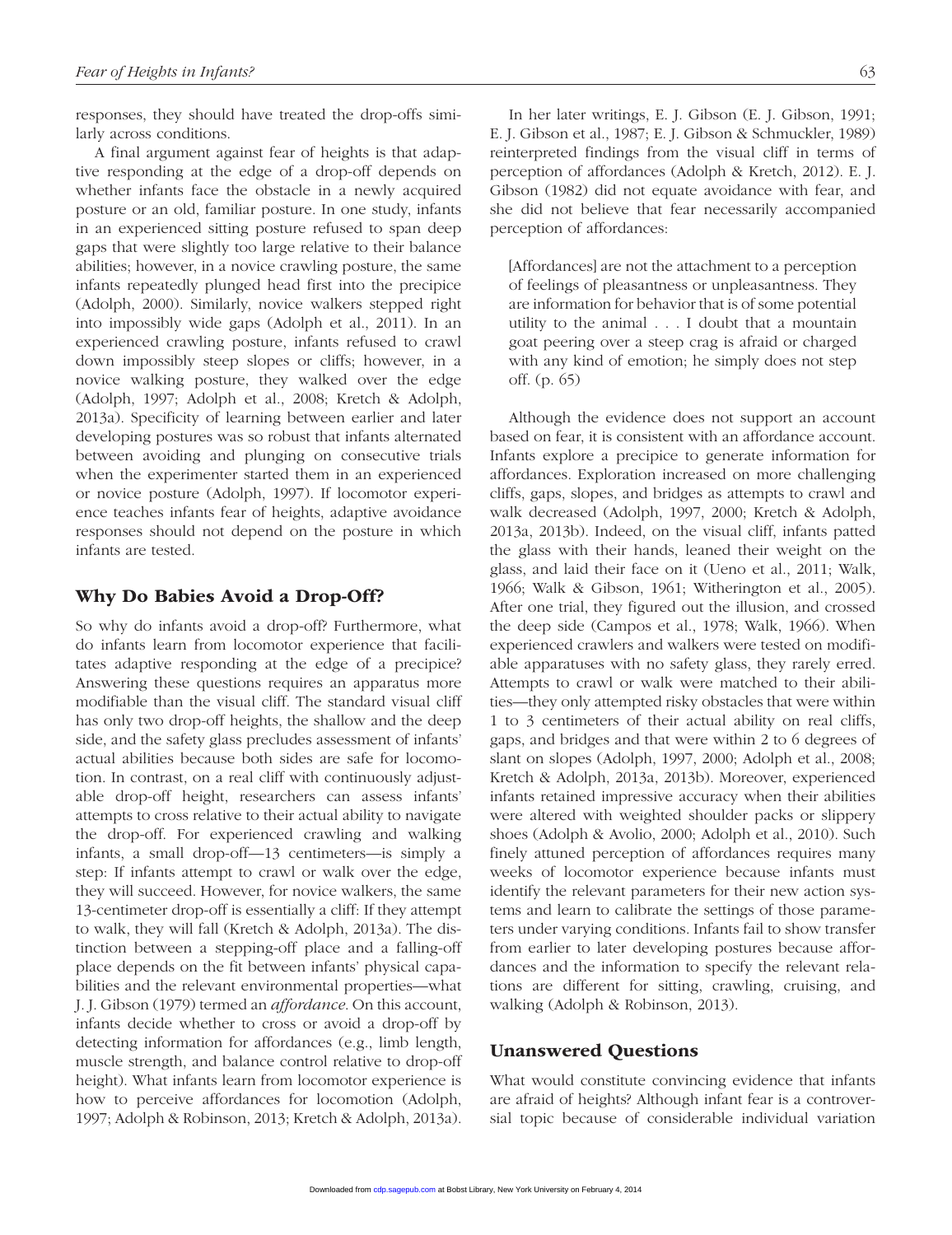responses, they should have treated the drop-offs similarly across conditions.

A final argument against fear of heights is that adaptive responding at the edge of a drop-off depends on whether infants face the obstacle in a newly acquired posture or an old, familiar posture. In one study, infants in an experienced sitting posture refused to span deep gaps that were slightly too large relative to their balance abilities; however, in a novice crawling posture, the same infants repeatedly plunged head first into the precipice (Adolph, 2000). Similarly, novice walkers stepped right into impossibly wide gaps (Adolph et al., 2011). In an experienced crawling posture, infants refused to crawl down impossibly steep slopes or cliffs; however, in a novice walking posture, they walked over the edge (Adolph, 1997; Adolph et al., 2008; Kretch & Adolph, 2013a). Specificity of learning between earlier and later developing postures was so robust that infants alternated between avoiding and plunging on consecutive trials when the experimenter started them in an experienced or novice posture (Adolph, 1997). If locomotor experience teaches infants fear of heights, adaptive avoidance responses should not depend on the posture in which infants are tested.

#### Why Do Babies Avoid a Drop-Off?

So why do infants avoid a drop-off? Furthermore, what do infants learn from locomotor experience that facilitates adaptive responding at the edge of a precipice? Answering these questions requires an apparatus more modifiable than the visual cliff. The standard visual cliff has only two drop-off heights, the shallow and the deep side, and the safety glass precludes assessment of infants' actual abilities because both sides are safe for locomotion. In contrast, on a real cliff with continuously adjustable drop-off height, researchers can assess infants' attempts to cross relative to their actual ability to navigate the drop-off. For experienced crawling and walking infants, a small drop-off—13 centimeters—is simply a step: If infants attempt to crawl or walk over the edge, they will succeed. However, for novice walkers, the same 13-centimeter drop-off is essentially a cliff: If they attempt to walk, they will fall (Kretch & Adolph, 2013a). The distinction between a stepping-off place and a falling-off place depends on the fit between infants' physical capabilities and the relevant environmental properties—what J. J. Gibson (1979) termed an *affordance*. On this account, infants decide whether to cross or avoid a drop-off by detecting information for affordances (e.g., limb length, muscle strength, and balance control relative to drop-off height). What infants learn from locomotor experience is how to perceive affordances for locomotion (Adolph, 1997; Adolph & Robinson, 2013; Kretch & Adolph, 2013a).

In her later writings, E. J. Gibson (E. J. Gibson, 1991; E. J. Gibson et al., 1987; E. J. Gibson & Schmuckler, 1989) reinterpreted findings from the visual cliff in terms of perception of affordances (Adolph & Kretch, 2012). E. J. Gibson (1982) did not equate avoidance with fear, and she did not believe that fear necessarily accompanied perception of affordances:

[Affordances] are not the attachment to a perception of feelings of pleasantness or unpleasantness. They are information for behavior that is of some potential utility to the animal . . . I doubt that a mountain goat peering over a steep crag is afraid or charged with any kind of emotion; he simply does not step off. (p. 65)

Although the evidence does not support an account based on fear, it is consistent with an affordance account. Infants explore a precipice to generate information for affordances. Exploration increased on more challenging cliffs, gaps, slopes, and bridges as attempts to crawl and walk decreased (Adolph, 1997, 2000; Kretch & Adolph, 2013a, 2013b). Indeed, on the visual cliff, infants patted the glass with their hands, leaned their weight on the glass, and laid their face on it (Ueno et al., 2011; Walk, 1966; Walk & Gibson, 1961; Witherington et al., 2005). After one trial, they figured out the illusion, and crossed the deep side (Campos et al., 1978; Walk, 1966). When experienced crawlers and walkers were tested on modifiable apparatuses with no safety glass, they rarely erred. Attempts to crawl or walk were matched to their abilities—they only attempted risky obstacles that were within 1 to 3 centimeters of their actual ability on real cliffs, gaps, and bridges and that were within 2 to 6 degrees of slant on slopes (Adolph, 1997, 2000; Adolph et al., 2008; Kretch & Adolph, 2013a, 2013b). Moreover, experienced infants retained impressive accuracy when their abilities were altered with weighted shoulder packs or slippery shoes (Adolph & Avolio, 2000; Adolph et al., 2010). Such finely attuned perception of affordances requires many weeks of locomotor experience because infants must identify the relevant parameters for their new action systems and learn to calibrate the settings of those parameters under varying conditions. Infants fail to show transfer from earlier to later developing postures because affordances and the information to specify the relevant relations are different for sitting, crawling, cruising, and walking (Adolph & Robinson, 2013).

#### Unanswered Questions

What would constitute convincing evidence that infants are afraid of heights? Although infant fear is a controversial topic because of considerable individual variation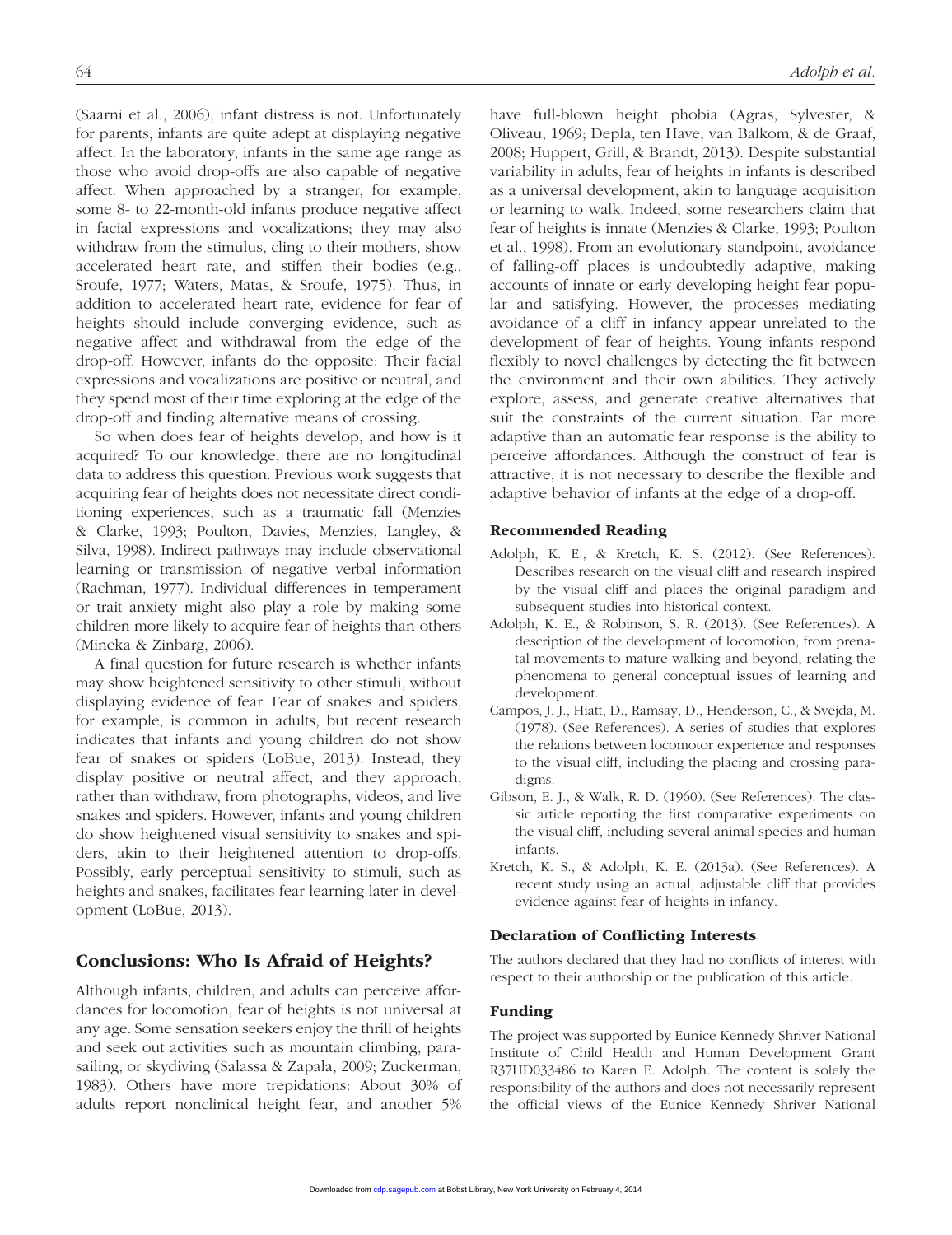(Saarni et al., 2006), infant distress is not. Unfortunately for parents, infants are quite adept at displaying negative affect. In the laboratory, infants in the same age range as those who avoid drop-offs are also capable of negative affect. When approached by a stranger, for example, some 8- to 22-month-old infants produce negative affect in facial expressions and vocalizations; they may also withdraw from the stimulus, cling to their mothers, show accelerated heart rate, and stiffen their bodies (e.g., Sroufe, 1977; Waters, Matas, & Sroufe, 1975). Thus, in addition to accelerated heart rate, evidence for fear of heights should include converging evidence, such as negative affect and withdrawal from the edge of the drop-off. However, infants do the opposite: Their facial expressions and vocalizations are positive or neutral, and they spend most of their time exploring at the edge of the drop-off and finding alternative means of crossing.

So when does fear of heights develop, and how is it acquired? To our knowledge, there are no longitudinal data to address this question. Previous work suggests that acquiring fear of heights does not necessitate direct conditioning experiences, such as a traumatic fall (Menzies & Clarke, 1993; Poulton, Davies, Menzies, Langley, & Silva, 1998). Indirect pathways may include observational learning or transmission of negative verbal information (Rachman, 1977). Individual differences in temperament or trait anxiety might also play a role by making some children more likely to acquire fear of heights than others (Mineka & Zinbarg, 2006).

A final question for future research is whether infants may show heightened sensitivity to other stimuli, without displaying evidence of fear. Fear of snakes and spiders, for example, is common in adults, but recent research indicates that infants and young children do not show fear of snakes or spiders (LoBue, 2013). Instead, they display positive or neutral affect, and they approach, rather than withdraw, from photographs, videos, and live snakes and spiders. However, infants and young children do show heightened visual sensitivity to snakes and spiders, akin to their heightened attention to drop-offs. Possibly, early perceptual sensitivity to stimuli, such as heights and snakes, facilitates fear learning later in development (LoBue, 2013).

#### Conclusions: Who Is Afraid of Heights?

Although infants, children, and adults can perceive affordances for locomotion, fear of heights is not universal at any age. Some sensation seekers enjoy the thrill of heights and seek out activities such as mountain climbing, parasailing, or skydiving (Salassa & Zapala, 2009; Zuckerman, 1983). Others have more trepidations: About 30% of adults report nonclinical height fear, and another 5% have full-blown height phobia (Agras, Sylvester, & Oliveau, 1969; Depla, ten Have, van Balkom, & de Graaf, 2008; Huppert, Grill, & Brandt, 2013). Despite substantial variability in adults, fear of heights in infants is described as a universal development, akin to language acquisition or learning to walk. Indeed, some researchers claim that fear of heights is innate (Menzies & Clarke, 1993; Poulton et al., 1998). From an evolutionary standpoint, avoidance of falling-off places is undoubtedly adaptive, making accounts of innate or early developing height fear popular and satisfying. However, the processes mediating avoidance of a cliff in infancy appear unrelated to the development of fear of heights. Young infants respond flexibly to novel challenges by detecting the fit between the environment and their own abilities. They actively explore, assess, and generate creative alternatives that suit the constraints of the current situation. Far more adaptive than an automatic fear response is the ability to perceive affordances. Although the construct of fear is attractive, it is not necessary to describe the flexible and

#### Recommended Reading

Adolph, K. E., & Kretch, K. S. (2012). (See References). Describes research on the visual cliff and research inspired by the visual cliff and places the original paradigm and subsequent studies into historical context.

adaptive behavior of infants at the edge of a drop-off.

- Adolph, K. E., & Robinson, S. R. (2013). (See References). A description of the development of locomotion, from prenatal movements to mature walking and beyond, relating the phenomena to general conceptual issues of learning and development.
- Campos, J. J., Hiatt, D., Ramsay, D., Henderson, C., & Svejda, M. (1978). (See References). A series of studies that explores the relations between locomotor experience and responses to the visual cliff, including the placing and crossing paradigms.
- Gibson, E. J., & Walk, R. D. (1960). (See References). The classic article reporting the first comparative experiments on the visual cliff, including several animal species and human infants.
- Kretch, K. S., & Adolph, K. E. (2013a). (See References). A recent study using an actual, adjustable cliff that provides evidence against fear of heights in infancy.

#### Declaration of Conflicting Interests

The authors declared that they had no conflicts of interest with respect to their authorship or the publication of this article.

#### Funding

The project was supported by Eunice Kennedy Shriver National Institute of Child Health and Human Development Grant R37HD033486 to Karen E. Adolph. The content is solely the responsibility of the authors and does not necessarily represent the official views of the Eunice Kennedy Shriver National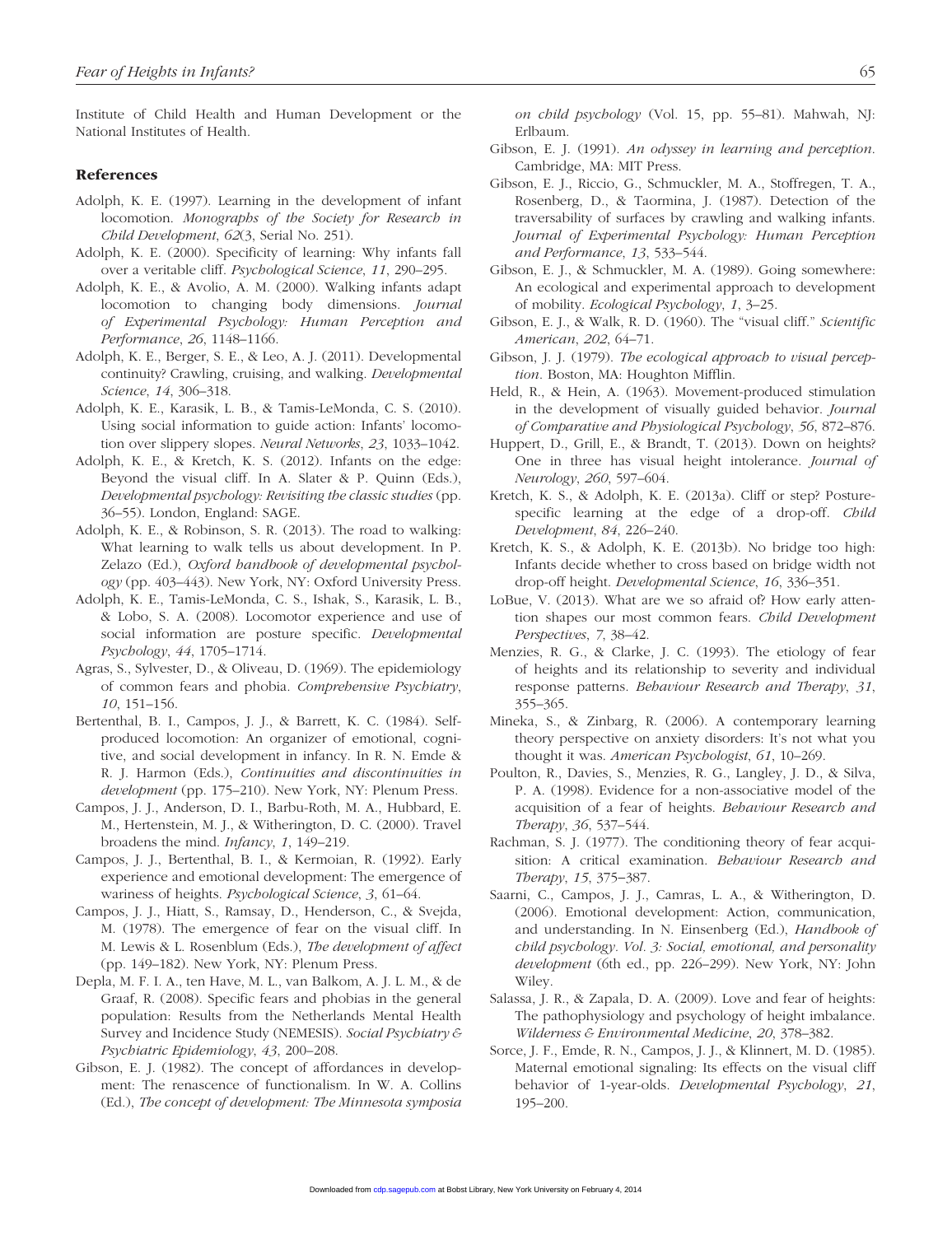Institute of Child Health and Human Development or the National Institutes of Health.

#### References

- Adolph, K. E. (1997). Learning in the development of infant locomotion. *Monographs of the Society for Research in Child Development*, *62*(3, Serial No. 251).
- Adolph, K. E. (2000). Specificity of learning: Why infants fall over a veritable cliff. *Psychological Science*, *11*, 290–295.
- Adolph, K. E., & Avolio, A. M. (2000). Walking infants adapt locomotion to changing body dimensions. *Journal of Experimental Psychology: Human Perception and Performance*, *26*, 1148–1166.
- Adolph, K. E., Berger, S. E., & Leo, A. J. (2011). Developmental continuity? Crawling, cruising, and walking. *Developmental Science*, *14*, 306–318.
- Adolph, K. E., Karasik, L. B., & Tamis-LeMonda, C. S. (2010). Using social information to guide action: Infants' locomotion over slippery slopes. *Neural Networks*, *23*, 1033–1042.
- Adolph, K. E., & Kretch, K. S. (2012). Infants on the edge: Beyond the visual cliff. In A. Slater & P. Quinn (Eds.), *Developmental psychology: Revisiting the classic studies* (pp. 36–55). London, England: SAGE.
- Adolph, K. E., & Robinson, S. R. (2013). The road to walking: What learning to walk tells us about development. In P. Zelazo (Ed.), *Oxford handbook of developmental psychology* (pp. 403–443). New York, NY: Oxford University Press.
- Adolph, K. E., Tamis-LeMonda, C. S., Ishak, S., Karasik, L. B., & Lobo, S. A. (2008). Locomotor experience and use of social information are posture specific. *Developmental Psychology*, *44*, 1705–1714.
- Agras, S., Sylvester, D., & Oliveau, D. (1969). The epidemiology of common fears and phobia. *Comprehensive Psychiatry*, *10*, 151–156.
- Bertenthal, B. I., Campos, J. J., & Barrett, K. C. (1984). Selfproduced locomotion: An organizer of emotional, cognitive, and social development in infancy. In R. N. Emde & R. J. Harmon (Eds.), *Continuities and discontinuities in development* (pp. 175–210). New York, NY: Plenum Press.
- Campos, J. J., Anderson, D. I., Barbu-Roth, M. A., Hubbard, E. M., Hertenstein, M. J., & Witherington, D. C. (2000). Travel broadens the mind. *Infancy*, *1*, 149–219.
- Campos, J. J., Bertenthal, B. I., & Kermoian, R. (1992). Early experience and emotional development: The emergence of wariness of heights. *Psychological Science*, *3*, 61–64.
- Campos, J. J., Hiatt, S., Ramsay, D., Henderson, C., & Svejda, M. (1978). The emergence of fear on the visual cliff. In M. Lewis & L. Rosenblum (Eds.), *The development of affect* (pp. 149–182). New York, NY: Plenum Press.
- Depla, M. F. I. A., ten Have, M. L., van Balkom, A. J. L. M., & de Graaf, R. (2008). Specific fears and phobias in the general population: Results from the Netherlands Mental Health Survey and Incidence Study (NEMESIS). *Social Psychiatry & Psychiatric Epidemiology*, *43*, 200–208.
- Gibson, E. J. (1982). The concept of affordances in development: The renascence of functionalism. In W. A. Collins (Ed.), *The concept of development: The Minnesota symposia*

*on child psychology* (Vol. 15, pp. 55–81). Mahwah, NJ: Erlbaum.

- Gibson, E. J. (1991). *An odyssey in learning and perception*. Cambridge, MA: MIT Press.
- Gibson, E. J., Riccio, G., Schmuckler, M. A., Stoffregen, T. A., Rosenberg, D., & Taormina, J. (1987). Detection of the traversability of surfaces by crawling and walking infants. *Journal of Experimental Psychology: Human Perception and Performance*, *13*, 533–544.
- Gibson, E. J., & Schmuckler, M. A. (1989). Going somewhere: An ecological and experimental approach to development of mobility. *Ecological Psychology*, *1*, 3–25.
- Gibson, E. J., & Walk, R. D. (1960). The "visual cliff." *Scientific American*, *202*, 64–71.
- Gibson, J. J. (1979). *The ecological approach to visual perception*. Boston, MA: Houghton Mifflin.
- Held, R., & Hein, A. (1963). Movement-produced stimulation in the development of visually guided behavior. *Journal of Comparative and Physiological Psychology*, *56*, 872–876.
- Huppert, D., Grill, E., & Brandt, T. (2013). Down on heights? One in three has visual height intolerance. *Journal of Neurology*, *260*, 597–604.
- Kretch, K. S., & Adolph, K. E. (2013a). Cliff or step? Posturespecific learning at the edge of a drop-off. *Child Development*, *84*, 226–240.
- Kretch, K. S., & Adolph, K. E. (2013b). No bridge too high: Infants decide whether to cross based on bridge width not drop-off height. *Developmental Science*, *16*, 336–351.
- LoBue, V. (2013). What are we so afraid of? How early attention shapes our most common fears. *Child Development Perspectives*, *7*, 38–42.
- Menzies, R. G., & Clarke, J. C. (1993). The etiology of fear of heights and its relationship to severity and individual response patterns. *Behaviour Research and Therapy*, *31*, 355–365.
- Mineka, S., & Zinbarg, R. (2006). A contemporary learning theory perspective on anxiety disorders: It's not what you thought it was. *American Psychologist*, *61*, 10–269.
- Poulton, R., Davies, S., Menzies, R. G., Langley, J. D., & Silva, P. A. (1998). Evidence for a non-associative model of the acquisition of a fear of heights. *Behaviour Research and Therapy*, *36*, 537–544.
- Rachman, S. J. (1977). The conditioning theory of fear acquisition: A critical examination. *Behaviour Research and Therapy*, *15*, 375−387.
- Saarni, C., Campos, J. J., Camras, L. A., & Witherington, D. (2006). Emotional development: Action, communication, and understanding. In N. Einsenberg (Ed.), *Handbook of child psychology. Vol. 3: Social, emotional, and personality development* (6th ed., pp. 226–299). New York, NY: John Wiley.
- Salassa, J. R., & Zapala, D. A. (2009). Love and fear of heights: The pathophysiology and psychology of height imbalance. *Wilderness & Environmental Medicine*, *20*, 378–382.
- Sorce, J. F., Emde, R. N., Campos, J. J., & Klinnert, M. D. (1985). Maternal emotional signaling: Its effects on the visual cliff behavior of 1-year-olds. *Developmental Psychology*, *21*, 195–200.